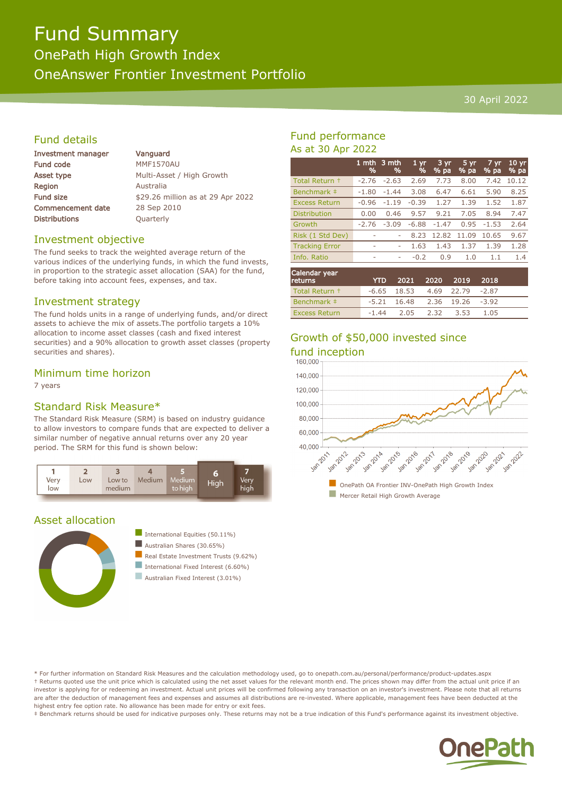# Fund Summary OnePath High Growth Index OneAnswer Frontier Investment Portfolio

#### 30 April 2022

# Fund details

| <b>Investment manager</b> | Vanguard                          |  |  |  |  |
|---------------------------|-----------------------------------|--|--|--|--|
| <b>Fund code</b>          | <b>MMF1570AU</b>                  |  |  |  |  |
| Asset type                | Multi-Asset / High Growth         |  |  |  |  |
| <b>Region</b>             | Australia                         |  |  |  |  |
| Fund size                 | \$29.26 million as at 29 Apr 2022 |  |  |  |  |
| <b>Commencement date</b>  | 28 Sep 2010                       |  |  |  |  |
| <b>Distributions</b>      | Quarterly                         |  |  |  |  |
|                           |                                   |  |  |  |  |

#### Investment objective

The fund seeks to track the weighted average return of the various indices of the underlying funds, in which the fund invests, in proportion to the strategic asset allocation (SAA) for the fund, before taking into account fees, expenses, and tax.

#### Investment strategy

The fund holds units in a range of underlying funds, and/or direct assets to achieve the mix of assets.The portfolio targets a 10% allocation to income asset classes (cash and fixed interest securities) and a 90% allocation to growth asset classes (property securities and shares).

## Minimum time horizon

7 years

# Standard Risk Measure\*

The Standard Risk Measure (SRM) is based on industry guidance to allow investors to compare funds that are expected to deliver a similar number of negative annual returns over any 20 year period. The SRM for this fund is shown below:



# Asset allocation



International Equities  $(50.11\%)$ Australian Shares (30.65%) Real Estate Investment Trusts (9.62%) International Fixed Interest (6.60%)

Australian Fixed Interest (3.01%)

## Fund performance As at 30 Apr 2022

|                       | 1 mth<br>% | 3 mth<br>% | 1 <sub>vr</sub><br>% | $3 \, yr$<br>% pa | 5 yr<br>% pa | 7 yr.<br>% pa | 10 <sub>yr</sub><br>% pa |
|-----------------------|------------|------------|----------------------|-------------------|--------------|---------------|--------------------------|
| Total Return +        | $-2.76$    | $-2.63$    | 2.69                 | 7.73              | 8.00         | 7.42          | 10.12                    |
| Benchmark ‡           | $-1.80$    | $-1.44$    | 3.08                 | 6.47              | 6.61         | 5.90          | 8.25                     |
| <b>Excess Return</b>  | $-0.96$    | $-1.19$    | $-0.39$              | 1.27              | 1.39         | 1.52          | 1.87                     |
| <b>Distribution</b>   | 0.00       | 0.46       | 9.57                 | 9.21              | 7.05         | 8.94          | 7.47                     |
| Growth                | $-2.76$    | $-3.09$    | $-6.88$              | $-1.47$           | 0.95         | $-1.53$       | 2.64                     |
| Risk (1 Std Dev)      |            |            | 8.23                 | 12.82             | 11.09        | 10.65         | 9.67                     |
| <b>Tracking Error</b> | ۰          | ۰          | 1.63                 | 1.43              | 1.37         | 1.39          | 1.28                     |
| Info. Ratio           | ۰          | ٠          | $-0.2$               | 0.9               | 1.0          | 1.1           | 1.4                      |
|                       |            |            |                      |                   |              |               |                          |

| Calendar year<br><b>returns</b> | <b>YTD</b> |                                  | 2021 2020 2019 |      | 2018 |  |
|---------------------------------|------------|----------------------------------|----------------|------|------|--|
| Total Return +                  |            | $-6.65$ 18.53 4.69 22.79 $-2.87$ |                |      |      |  |
| Benchmark $\pm$                 |            | $-5.21$ 16.48 2.36 19.26 $-3.92$ |                |      |      |  |
| <b>Excess Return</b>            | $-1.44$    |                                  | 2.05 2.32      | 3.53 | 1.05 |  |

# Growth of \$50,000 invested since



\* For further information on Standard Risk Measures and the calculation methodology used, go to onepath.com.au/personal/performance/product-updates.aspx † Returns quoted use the unit price which is calculated using the net asset values for the relevant month end. The prices shown may differ from the actual unit price if an investor is applying for or redeeming an investment. Actual unit prices will be confirmed following any transaction on an investor's investment. Please note that all returns are after the deduction of management fees and expenses and assumes all distributions are re-invested. Where applicable, management fees have been deducted at the highest entry fee option rate. No allowance has been made for entry or exit fees.

‡ Benchmark returns should be used for indicative purposes only. These returns may not be a true indication of this Fund's performance against its investment objective.